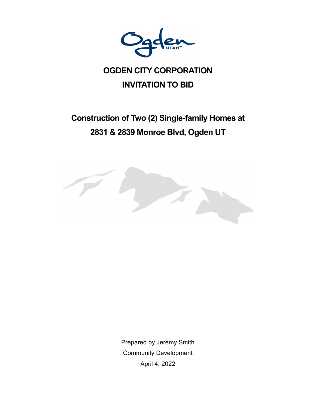

# **OGDEN CITY CORPORATION INVITATION TO BID**

# **Construction of Two (2) Single-family Homes at 2831 & 2839 Monroe Blvd, Ogden UT**



Prepared by Jeremy Smith Community Development April 4, 2022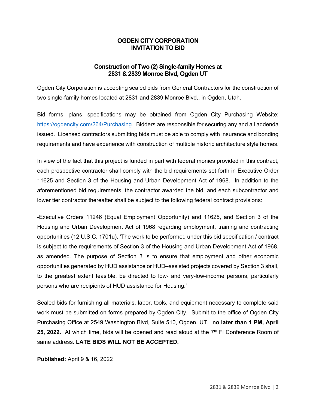### **OGDEN CITY CORPORATION INVITATION TO BID**

## **Construction of Two (2) Single-family Homes at 2831 & 2839 Monroe Blvd, Ogden UT**

Ogden City Corporation is accepting sealed bids from General Contractors for the construction of two single-family homes located at 2831 and 2839 Monroe Blvd., in Ogden, Utah.

Bid forms, plans, specifications may be obtained from Ogden City Purchasing Website: https://ogdencity.com/264/Purchasing. Bidders are responsible for securing any and all addenda issued. Licensed contractors submitting bids must be able to comply with insurance and bonding requirements and have experience with construction of multiple historic architecture style homes.

In view of the fact that this project is funded in part with federal monies provided in this contract, each prospective contractor shall comply with the bid requirements set forth in Executive Order 11625 and Section 3 of the Housing and Urban Development Act of 1968. In addition to the aforementioned bid requirements, the contractor awarded the bid, and each subcontractor and lower tier contractor thereafter shall be subject to the following federal contract provisions:

-Executive Orders 11246 (Equal Employment Opportunity) and 11625, and Section 3 of the Housing and Urban Development Act of 1968 regarding employment, training and contracting opportunities (12 U.S.C. 1701u). 'The work to be performed under this bid specification / contract is subject to the requirements of Section 3 of the Housing and Urban Development Act of 1968, as amended. The purpose of Section 3 is to ensure that employment and other economic opportunities generated by HUD assistance or HUD–assisted projects covered by Section 3 shall, to the greatest extent feasible, be directed to low- and very-low-income persons, particularly persons who are recipients of HUD assistance for Housing.'

Sealed bids for furnishing all materials, labor, tools, and equipment necessary to complete said work must be submitted on forms prepared by Ogden City. Submit to the office of Ogden City Purchasing Office at 2549 Washington Blvd, Suite 510, Ogden, UT. **no later than 1 PM, April**  25, 2022. At which time, bids will be opened and read aloud at the 7<sup>th</sup> FI Conference Room of same address. **LATE BIDS WILL NOT BE ACCEPTED.** 

#### **Published:** April 9 & 16, 2022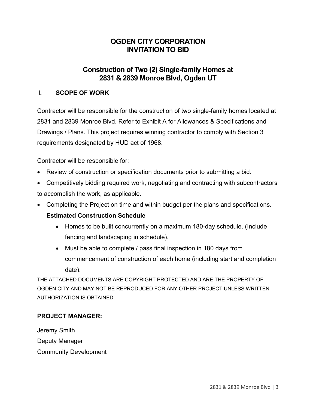# **OGDEN CITY CORPORATION INVITATION TO BID**

# **Construction of Two (2) Single-family Homes at 2831 & 2839 Monroe Blvd, Ogden UT**

## **I. SCOPE OF WORK**

Contractor will be responsible for the construction of two single-family homes located at 2831 and 2839 Monroe Blvd. Refer to Exhibit A for Allowances & Specifications and Drawings / Plans. This project requires winning contractor to comply with Section 3 requirements designated by HUD act of 1968.

Contractor will be responsible for:

- Review of construction or specification documents prior to submitting a bid.
- Competitively bidding required work, negotiating and contracting with subcontractors to accomplish the work, as applicable.
- Completing the Project on time and within budget per the plans and specifications.

# **Estimated Construction Schedule**

- Homes to be built concurrently on a maximum 180-day schedule. (Include fencing and landscaping in schedule).
- Must be able to complete / pass final inspection in 180 days from commencement of construction of each home (including start and completion date).

THE ATTACHED DOCUMENTS ARE COPYRIGHT PROTECTED AND ARE THE PROPERTY OF OGDEN CITY AND MAY NOT BE REPRODUCED FOR ANY OTHER PROJECT UNLESS WRITTEN AUTHORIZATION IS OBTAINED.

# **PROJECT MANAGER:**

Jeremy Smith Deputy Manager Community Development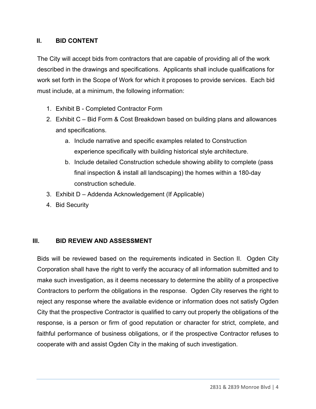# **II. BID CONTENT**

The City will accept bids from contractors that are capable of providing all of the work described in the drawings and specifications. Applicants shall include qualifications for work set forth in the Scope of Work for which it proposes to provide services. Each bid must include, at a minimum, the following information:

- 1. Exhibit B Completed Contractor Form
- 2. Exhibit C Bid Form & Cost Breakdown based on building plans and allowances and specifications.
	- a. Include narrative and specific examples related to Construction experience specifically with building historical style architecture.
	- b. Include detailed Construction schedule showing ability to complete (pass final inspection & install all landscaping) the homes within a 180-day construction schedule.
- 3. Exhibit D Addenda Acknowledgement (If Applicable)
- 4. Bid Security

# **III. BID REVIEW AND ASSESSMENT**

Bids will be reviewed based on the requirements indicated in Section II. Ogden City Corporation shall have the right to verify the accuracy of all information submitted and to make such investigation, as it deems necessary to determine the ability of a prospective Contractors to perform the obligations in the response. Ogden City reserves the right to reject any response where the available evidence or information does not satisfy Ogden City that the prospective Contractor is qualified to carry out properly the obligations of the response, is a person or firm of good reputation or character for strict, complete, and faithful performance of business obligations, or if the prospective Contractor refuses to cooperate with and assist Ogden City in the making of such investigation.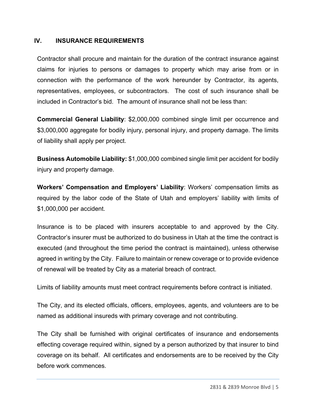### **IV. INSURANCE REQUIREMENTS**

Contractor shall procure and maintain for the duration of the contract insurance against claims for injuries to persons or damages to property which may arise from or in connection with the performance of the work hereunder by Contractor, its agents, representatives, employees, or subcontractors. The cost of such insurance shall be included in Contractor's bid. The amount of insurance shall not be less than:

**Commercial General Liability**: \$2,000,000 combined single limit per occurrence and \$3,000,000 aggregate for bodily injury, personal injury, and property damage. The limits of liability shall apply per project.

**Business Automobile Liability:** \$1,000,000 combined single limit per accident for bodily injury and property damage.

**Workers' Compensation and Employers' Liability**: Workers' compensation limits as required by the labor code of the State of Utah and employers' liability with limits of \$1,000,000 per accident.

Insurance is to be placed with insurers acceptable to and approved by the City. Contractor's insurer must be authorized to do business in Utah at the time the contract is executed (and throughout the time period the contract is maintained), unless otherwise agreed in writing by the City. Failure to maintain or renew coverage or to provide evidence of renewal will be treated by City as a material breach of contract.

Limits of liability amounts must meet contract requirements before contract is initiated.

The City, and its elected officials, officers, employees, agents, and volunteers are to be named as additional insureds with primary coverage and not contributing.

The City shall be furnished with original certificates of insurance and endorsements effecting coverage required within, signed by a person authorized by that insurer to bind coverage on its behalf. All certificates and endorsements are to be received by the City before work commences.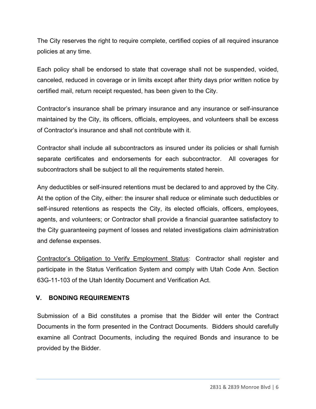The City reserves the right to require complete, certified copies of all required insurance policies at any time.

Each policy shall be endorsed to state that coverage shall not be suspended, voided, canceled, reduced in coverage or in limits except after thirty days prior written notice by certified mail, return receipt requested, has been given to the City.

Contractor's insurance shall be primary insurance and any insurance or self-insurance maintained by the City, its officers, officials, employees, and volunteers shall be excess of Contractor's insurance and shall not contribute with it.

Contractor shall include all subcontractors as insured under its policies or shall furnish separate certificates and endorsements for each subcontractor. All coverages for subcontractors shall be subject to all the requirements stated herein.

Any deductibles or self-insured retentions must be declared to and approved by the City. At the option of the City, either: the insurer shall reduce or eliminate such deductibles or self-insured retentions as respects the City, its elected officials, officers, employees, agents, and volunteers; or Contractor shall provide a financial guarantee satisfactory to the City guaranteeing payment of losses and related investigations claim administration and defense expenses.

Contractor's Obligation to Verify Employment Status: Contractor shall register and participate in the Status Verification System and comply with Utah Code Ann. Section 63G-11-103 of the Utah Identity Document and Verification Act.

# **V. BONDING REQUIREMENTS**

Submission of a Bid constitutes a promise that the Bidder will enter the Contract Documents in the form presented in the Contract Documents. Bidders should carefully examine all Contract Documents, including the required Bonds and insurance to be provided by the Bidder.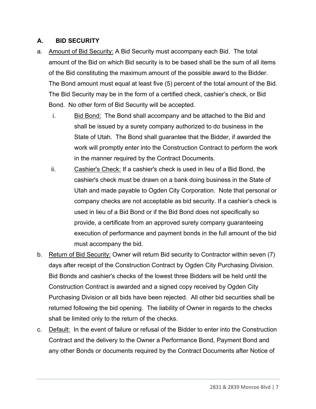# **A. BID SECURITY**

- a. Amount of Bid Security: A Bid Security must accompany each Bid. The total amount of the Bid on which Bid security is to be based shall be the sum of all items of the Bid constituting the maximum amount of the possible award to the Bidder. The Bond amount must equal at least five (5) percent of the total amount of the Bid. The Bid Security may be in the form of a certified check, cashier's check, or Bid Bond. No other form of Bid Security will be accepted.
	- i. Bid Bond: The Bond shall accompany and be attached to the Bid and shall be issued by a surety company authorized to do business in the State of Utah. The Bond shall guarantee that the Bidder, if awarded the work will promptly enter into the Construction Contract to perform the work in the manner required by the Contract Documents.
	- ii. Cashier's Check: If a cashier's check is used in lieu of a Bid Bond, the cashier's check must be drawn on a bank doing business in the State of Utah and made payable to Ogden City Corporation. Note that personal or company checks are not acceptable as bid security. If a cashier's check is used in lieu of a Bid Bond or if the Bid Bond does not specifically so provide, a certificate from an approved surety company guaranteeing execution of performance and payment bonds in the full amount of the bid must accompany the bid.
- b. Return of Bid Security: Owner will return Bid security to Contractor within seven (7) days after receipt of the Construction Contract by Ogden City Purchasing Division. Bid Bonds and cashier's checks of the lowest three Bidders will be held until the Construction Contract is awarded and a signed copy received by Ogden City Purchasing Division or all bids have been rejected. All other bid securities shall be returned following the bid opening. The liability of Owner in regards to the checks shall be limited only to the return of the checks.
- c. Default: In the event of failure or refusal of the Bidder to enter into the Construction Contract and the delivery to the Owner a Performance Bond, Payment Bond and any other Bonds or documents required by the Contract Documents after Notice of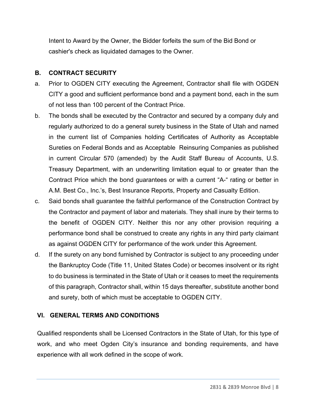Intent to Award by the Owner, the Bidder forfeits the sum of the Bid Bond or cashier's check as liquidated damages to the Owner.

# **B. CONTRACT SECURITY**

- a. Prior to OGDEN CITY executing the Agreement, Contractor shall file with OGDEN CITY a good and sufficient performance bond and a payment bond, each in the sum of not less than 100 percent of the Contract Price.
- b. The bonds shall be executed by the Contractor and secured by a company duly and regularly authorized to do a general surety business in the State of Utah and named in the current list of Companies holding Certificates of Authority as Acceptable Sureties on Federal Bonds and as Acceptable Reinsuring Companies as published in current Circular 570 (amended) by the Audit Staff Bureau of Accounts, U.S. Treasury Department, with an underwriting limitation equal to or greater than the Contract Price which the bond guarantees or with a current "A-" rating or better in A.M. Best Co., Inc.'s, Best Insurance Reports, Property and Casualty Edition.
- c. Said bonds shall guarantee the faithful performance of the Construction Contract by the Contractor and payment of labor and materials. They shall inure by their terms to the benefit of OGDEN CITY. Neither this nor any other provision requiring a performance bond shall be construed to create any rights in any third party claimant as against OGDEN CITY for performance of the work under this Agreement.
- d. If the surety on any bond furnished by Contractor is subject to any proceeding under the Bankruptcy Code (Title 11, United States Code) or becomes insolvent or its right to do business is terminated in the State of Utah or it ceases to meet the requirements of this paragraph, Contractor shall, within 15 days thereafter, substitute another bond and surety, both of which must be acceptable to OGDEN CITY.

# **VI. GENERAL TERMS AND CONDITIONS**

Qualified respondents shall be Licensed Contractors in the State of Utah, for this type of work, and who meet Ogden City's insurance and bonding requirements, and have experience with all work defined in the scope of work.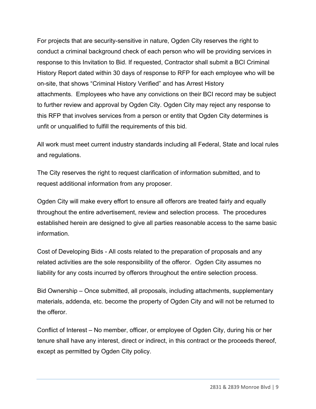For projects that are security-sensitive in nature, Ogden City reserves the right to conduct a criminal background check of each person who will be providing services in response to this Invitation to Bid. If requested, Contractor shall submit a BCI Criminal History Report dated within 30 days of response to RFP for each employee who will be on-site, that shows "Criminal History Verified" and has Arrest History attachments. Employees who have any convictions on their BCI record may be subject to further review and approval by Ogden City. Ogden City may reject any response to this RFP that involves services from a person or entity that Ogden City determines is unfit or unqualified to fulfill the requirements of this bid.

All work must meet current industry standards including all Federal, State and local rules and regulations.

The City reserves the right to request clarification of information submitted, and to request additional information from any proposer.

Ogden City will make every effort to ensure all offerors are treated fairly and equally throughout the entire advertisement, review and selection process. The procedures established herein are designed to give all parties reasonable access to the same basic information.

Cost of Developing Bids - All costs related to the preparation of proposals and any related activities are the sole responsibility of the offeror. Ogden City assumes no liability for any costs incurred by offerors throughout the entire selection process.

Bid Ownership – Once submitted, all proposals, including attachments, supplementary materials, addenda, etc. become the property of Ogden City and will not be returned to the offeror.

Conflict of Interest – No member, officer, or employee of Ogden City, during his or her tenure shall have any interest, direct or indirect, in this contract or the proceeds thereof, except as permitted by Ogden City policy.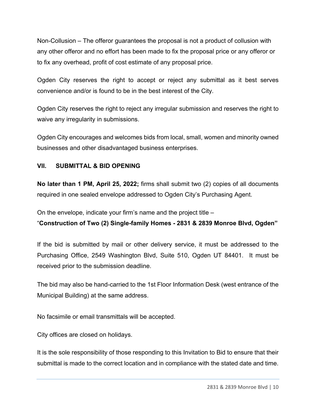Non-Collusion – The offeror guarantees the proposal is not a product of collusion with any other offeror and no effort has been made to fix the proposal price or any offeror or to fix any overhead, profit of cost estimate of any proposal price.

Ogden City reserves the right to accept or reject any submittal as it best serves convenience and/or is found to be in the best interest of the City.

Ogden City reserves the right to reject any irregular submission and reserves the right to waive any irregularity in submissions.

Ogden City encourages and welcomes bids from local, small, women and minority owned businesses and other disadvantaged business enterprises.

# **VII. SUBMITTAL & BID OPENING**

**No later than 1 PM, April 25, 2022;** firms shall submit two (2) copies of all documents required in one sealed envelope addressed to Ogden City's Purchasing Agent.

On the envelope, indicate your firm's name and the project title –

"**Construction of Two (2) Single-family Homes - 2831 & 2839 Monroe Blvd, Ogden"** 

If the bid is submitted by mail or other delivery service, it must be addressed to the Purchasing Office, 2549 Washington Blvd, Suite 510, Ogden UT 84401. It must be received prior to the submission deadline.

The bid may also be hand-carried to the 1st Floor Information Desk (west entrance of the Municipal Building) at the same address.

No facsimile or email transmittals will be accepted.

City offices are closed on holidays.

It is the sole responsibility of those responding to this Invitation to Bid to ensure that their submittal is made to the correct location and in compliance with the stated date and time.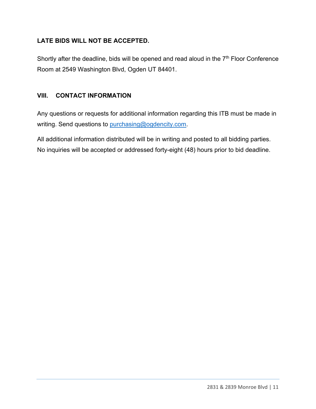# **LATE BIDS WILL NOT BE ACCEPTED.**

Shortly after the deadline, bids will be opened and read aloud in the 7<sup>th</sup> Floor Conference Room at 2549 Washington Blvd, Ogden UT 84401.

# **VIII. CONTACT INFORMATION**

Any questions or requests for additional information regarding this ITB must be made in writing. Send questions to purchasing@ogdencity.com.

All additional information distributed will be in writing and posted to all bidding parties. No inquiries will be accepted or addressed forty-eight (48) hours prior to bid deadline.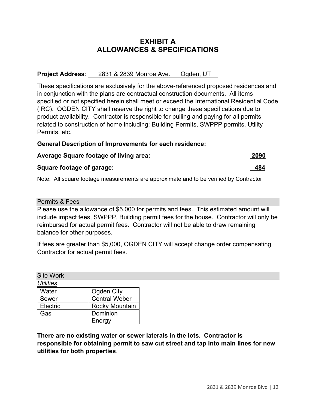# **EXHIBIT A ALLOWANCES & SPECIFICATIONS**

#### **Project Address**: 2831 & 2839 Monroe Ave. Ogden, UT\_\_

These specifications are exclusively for the above-referenced proposed residences and in conjunction with the plans are contractual construction documents. All items specified or not specified herein shall meet or exceed the International Residential Code (IRC). OGDEN CITY shall reserve the right to change these specifications due to product availability. Contractor is responsible for pulling and paying for all permits related to construction of home including: Building Permits, SWPPP permits, Utility Permits, etc.

#### **General Description of Improvements for each residence:**

| <b>Average Square footage of living area:</b> | 2090 |
|-----------------------------------------------|------|
|-----------------------------------------------|------|

#### **Square footage of garage:** 484

Note: All square footage measurements are approximate and to be verified by Contractor

Permits & Fees

Please use the allowance of \$5,000 for permits and fees. This estimated amount will include impact fees, SWPPP, Building permit fees for the house. Contractor will only be reimbursed for actual permit fees. Contractor will not be able to draw remaining balance for other purposes.

If fees are greater than \$5,000, OGDEN CITY will accept change order compensating Contractor for actual permit fees.

| <b>Site Work</b> |                       |
|------------------|-----------------------|
| <b>Utilities</b> |                       |
| Water            | Ogden City            |
| Sewer            | <b>Central Weber</b>  |
| Electric         | <b>Rocky Mountain</b> |
| Gas              | Dominion              |
|                  | Energy                |

**There are no existing water or sewer laterals in the lots. Contractor is responsible for obtaining permit to saw cut street and tap into main lines for new utilities for both properties**.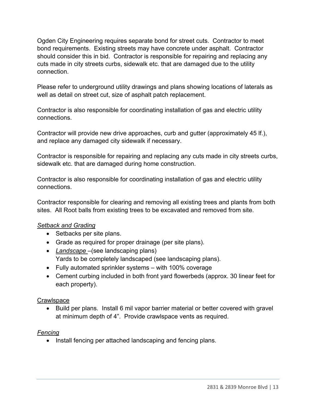Ogden City Engineering requires separate bond for street cuts. Contractor to meet bond requirements. Existing streets may have concrete under asphalt. Contractor should consider this in bid. Contractor is responsible for repairing and replacing any cuts made in city streets curbs, sidewalk etc. that are damaged due to the utility connection.

Please refer to underground utility drawings and plans showing locations of laterals as well as detail on street cut, size of asphalt patch replacement.

Contractor is also responsible for coordinating installation of gas and electric utility connections.

Contractor will provide new drive approaches, curb and gutter (approximately 45 lf.), and replace any damaged city sidewalk if necessary.

Contractor is responsible for repairing and replacing any cuts made in city streets curbs, sidewalk etc. that are damaged during home construction.

Contractor is also responsible for coordinating installation of gas and electric utility connections.

Contractor responsible for clearing and removing all existing trees and plants from both sites. All Root balls from existing trees to be excavated and removed from site.

# *Setback and Grading*

- Setbacks per site plans.
- Grade as required for proper drainage (per site plans).
- *Landscape* –(see landscaping plans) Yards to be completely landscaped (see landscaping plans).
- Fully automated sprinkler systems with 100% coverage
- Cement curbing included in both front yard flowerbeds (approx. 30 linear feet for each property).

# **Crawlspace**

• Build per plans. Install 6 mil vapor barrier material or better covered with gravel at minimum depth of 4". Provide crawlspace vents as required.

# *Fencing*

• Install fencing per attached landscaping and fencing plans.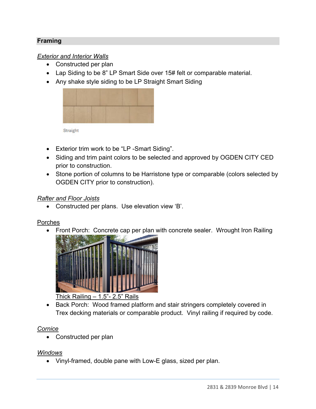# **Framing**

## *Exterior and Interior Walls*

- Constructed per plan
- Lap Siding to be 8" LP Smart Side over 15# felt or comparable material.
- Any shake style siding to be LP Straight Smart Siding



Straight

- Exterior trim work to be "LP -Smart Siding".
- Siding and trim paint colors to be selected and approved by OGDEN CITY CED prior to construction.
- Stone portion of columns to be Harristone type or comparable (colors selected by OGDEN CITY prior to construction).

#### *Rafter and Floor Joists*

Constructed per plans. Use elevation view 'B'.

#### Porches

Front Porch: Concrete cap per plan with concrete sealer. Wrought Iron Railing



• Back Porch: Wood framed platform and stair stringers completely covered in Trex decking materials or comparable product. Vinyl railing if required by code.

#### *Cornice*

• Constructed per plan

## *Windows*

Vinyl-framed, double pane with Low-E glass, sized per plan.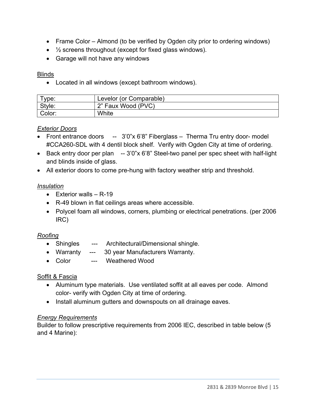- Frame Color Almond (to be verified by Ogden city prior to ordering windows)
- $\bullet$   $\frac{1}{2}$  screens throughout (except for fixed glass windows).
- Garage will not have any windows

## Blinds

Located in all windows (except bathroom windows).

| $^{\mathsf{T}}$ vpe: | Levelor (or Comparable) |
|----------------------|-------------------------|
| Style:               | 2" Faux Wood (PVC)      |
| Color:               | White                   |

## *Exterior Doors*

- Front entrance doors -- 3'0"x 6'8" Fiberglass Therma Tru entry door- model #CCA260-SDL with 4 dentil block shelf. Verify with Ogden City at time of ordering.
- Back entry door per plan -- 3'0"x 6'8" Steel-two panel per spec sheet with half-light and blinds inside of glass.
- All exterior doors to come pre-hung with factory weather strip and threshold.

# *Insulation*

- $\bullet$  Exterior walls R-19
- R-49 blown in flat ceilings areas where accessible.
- Polycel foam all windows, corners, plumbing or electrical penetrations. (per 2006 IRC)

# *Roofing*

- Shingles --- Architectural/Dimensional shingle.
- Warranty --- 30 year Manufacturers Warranty.
- Color --- Weathered Wood

# Soffit & Fascia

- Aluminum type materials. Use ventilated soffit at all eaves per code. Almond color- verify with Ogden City at time of ordering.
- Install aluminum gutters and downspouts on all drainage eaves.

# *Energy Requirements*

Builder to follow prescriptive requirements from 2006 IEC, described in table below (5 and 4 Marine):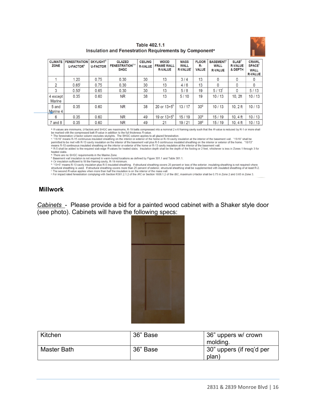

| Table 402.1.1                                                      |  |
|--------------------------------------------------------------------|--|
| Insulation and Fenestration Requirements by Component <sup>a</sup> |  |

| <b>CLIMATE</b><br><b>ZONE</b> | <b>FENESTRATION</b><br>U-FACTOR <sup>b</sup> | <b>SKYLIGHT</b> <sup>b</sup><br><b>U-FACTOR</b> | <b>GLAZED</b><br><b>FENESTRATION</b> b,e<br><b>SHGC</b> | <b>CEILING</b><br><b>R-VALUE</b> | <b>WOOD</b><br><b>FRAME WALL</b><br><b>R-VALUE</b> | <b>MASS</b><br><b>WALL</b><br><b>R-VALUE</b> | <b>FLOOR</b><br>R-<br><b>VALUE</b> | <b>BASEMENT</b> <sup>c</sup><br><b>WALL</b><br><b>R-VALUE</b> | SLAB <sup>d</sup><br><b>R-VALUE</b><br>& DEPTH | <b>CRAWL</b><br><b>SPACE<sup>c</sup></b><br><b>WALL</b><br><b>R-VALUE</b> |
|-------------------------------|----------------------------------------------|-------------------------------------------------|---------------------------------------------------------|----------------------------------|----------------------------------------------------|----------------------------------------------|------------------------------------|---------------------------------------------------------------|------------------------------------------------|---------------------------------------------------------------------------|
|                               | 1.20                                         | 0.75                                            | 0.30                                                    | 30                               | 13                                                 | 3/4                                          | 13                                 |                                                               |                                                | 0                                                                         |
| 2                             | 0.65                                         | 0.75                                            | 0.30                                                    | 30                               | 13                                                 | 4/6                                          | 13                                 |                                                               |                                                | 0                                                                         |
| 3                             | 0.50 <sup>1</sup>                            | 0.65                                            | 0.30                                                    | 30                               | 13                                                 | 5/8                                          | 19                                 | $5/13$ <sup>t</sup>                                           | 0                                              | 5/13                                                                      |
| 4 except<br><b>Marine</b>     | 0.35                                         | 0.60                                            | <b>NR</b>                                               | 38                               | 13                                                 | 5/10                                         | 19                                 | 10/13                                                         | 10.2ft                                         | 10/13                                                                     |
| 5 and<br>Marine 4             | 0.35                                         | 0.60                                            | <b>NR</b>                                               | 38                               | 20 or 13+5 <sup>h</sup>                            | 13/17                                        | 30 <sup>9</sup>                    | 10/13                                                         | $10.2$ ft                                      | 10/13                                                                     |
| 6                             | 0.35                                         | 0.60                                            | <b>NR</b>                                               | 49                               | 19 or $13+5^h$                                     | 15/19                                        | 30 <sup>9</sup>                    | 15/19                                                         | 10.4 $ft$                                      | 10/13                                                                     |
| and 8                         | 0.35                                         | 0.60                                            | <b>NR</b>                                               | 49                               | 21                                                 | 19/21                                        | 38 <sup>g</sup>                    | 15/19                                                         | 10, 4 ft                                       | 10/13                                                                     |

<sup>a</sup> R-values are minimums, *U*-factors and SHGC are maximums, R-19 batts compressed into a nominal 2 x 6 framing cavity such that the R-value is reduced by R-1 or more shall<br>be marked with the compressed batt R-value in

and the interior of the home or R-13 cavity insulation at the interior of the basement wall.<br>
4. R-5 shall be added to the required slab edge R-values for heated slabs. Insulation depth shall be the depth of the footing or heated slabs.

\*-There are no SHGC requirements in the Marine Zone.<br>\*-There are no SHGC requirements in the Marine Zone.<br>\*-Basement wall insulation is not required in warm-humid locations as defined by Figure 301.1 and Table 301.1.

Provided in the framing cavity, R-19 minimum.<br>
<sup>B</sup> Or insulation sufficient to fill the framing cavity, R-19 minimum.<br>
h "13+5" means R-13 cavity insulation plus R-5 insulated sheathing. If structural sheathing covers 25

For impact rated fenestration complying with Section R301.2.1.2 of the IRC or Section 1608.1.2 of the IBC, maximum U-factor shall be 0.75 in Zone 2 and 0.65 in Zone 3.

#### **Millwork**

*Cabinets* - Please provide a bid for a painted wood cabinet with a Shaker style door (see photo). Cabinets will have the following specs:



| Kitchen     | 36" Base | 36" uppers w/ crown               |
|-------------|----------|-----------------------------------|
|             |          | molding.                          |
| Master Bath | 36" Base | 30" uppers (if req'd per<br>plan, |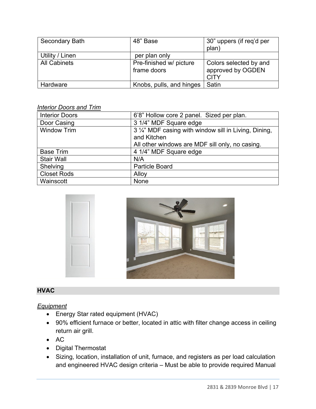| <b>Secondary Bath</b> | 48" Base                 | 30" uppers (if req'd per |
|-----------------------|--------------------------|--------------------------|
|                       |                          | plan)                    |
| Utility / Linen       | per plan only            |                          |
| <b>All Cabinets</b>   | Pre-finished w/ picture  | Colors selected by and   |
|                       | frame doors              | approved by OGDEN        |
|                       |                          | <b>CITY</b>              |
| Hardware              | Knobs, pulls, and hinges | Satin                    |

#### *Interior Doors and Trim*

| <b>Interior Doors</b> | 6'8" Hollow core 2 panel. Sized per plan.             |
|-----------------------|-------------------------------------------------------|
| Door Casing           | 3 1/4" MDF Square edge                                |
| <b>Window Trim</b>    | 3 1/4" MDF casing with window sill in Living, Dining, |
|                       | and Kitchen                                           |
|                       | All other windows are MDF sill only, no casing.       |
| <b>Base Trim</b>      | 4 1/4" MDF Square edge                                |
| <b>Stair Wall</b>     | N/A                                                   |
| Shelving              | <b>Particle Board</b>                                 |
| <b>Closet Rods</b>    | Alloy                                                 |
| Wainscott             | None                                                  |



# **HVAC**

#### *Equipment*

- Energy Star rated equipment (HVAC)
- 90% efficient furnace or better, located in attic with filter change access in ceiling return air grill.
- $\bullet$  AC
- Digital Thermostat
- Sizing, location, installation of unit, furnace, and registers as per load calculation and engineered HVAC design criteria – Must be able to provide required Manual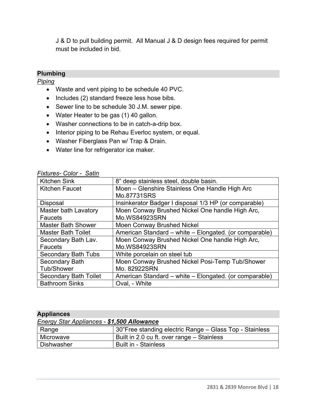J & D to pull building permit. All Manual J & D design fees required for permit must be included in bid.

# **Plumbing**

## *Piping*

- Waste and vent piping to be schedule 40 PVC.
- Includes (2) standard freeze less hose bibs.
- Sewer line to be schedule 30 J.M. sewer pipe.
- Water Heater to be gas (1) 40 gallon.
- Washer connections to be in catch-a-drip box.
- Interior piping to be Rehau Everloc system, or equal.
- Washer Fiberglass Pan w/ Trap & Drain.
- Water line for refrigerator ice maker.

| וטוטט טטומאו ו<br><b>OULILLE</b> |                                                        |
|----------------------------------|--------------------------------------------------------|
| <b>Kitchen Sink</b>              | 8" deep stainless steel, double basin.                 |
| <b>Kitchen Faucet</b>            | Moen - Glenshire Stainless One Handle High Arc         |
|                                  | Mo.87731SRS                                            |
| <b>Disposal</b>                  | Insinkerator Badger I disposal 1/3 HP (or comparable)  |
| <b>Master bath Lavatory</b>      | Moen Conway Brushed Nickel One handle High Arc,        |
| Faucets                          | Mo.WS84923SRN                                          |
| <b>Master Bath Shower</b>        | <b>Moen Conway Brushed Nickel</b>                      |
| <b>Master Bath Toilet</b>        | American Standard – white – Elongated. (or comparable) |
| Secondary Bath Lav.              | Moen Conway Brushed Nickel One handle High Arc,        |
| Faucets                          | Mo.WS84923SRN                                          |
| <b>Secondary Bath Tubs</b>       | White porcelain on steel tub                           |
| <b>Secondary Bath</b>            | Moen Conway Brushed Nickel Posi-Temp Tub/Shower        |
| <b>Tub/Shower</b>                | Mo. 82922SRN                                           |
| <b>Secondary Bath Toilet</b>     | American Standard – white – Elongated. (or comparable) |
| <b>Bathroom Sinks</b>            | Oval, - White                                          |

#### *Fixtures- Color - Satin*

#### **Appliances**

|  | <b>Energy Star Appliances - \$1,500 Allowance</b> |
|--|---------------------------------------------------|
|  |                                                   |

| Range       | <sup>∣</sup> 30"Free standing electric Range – Glass Top - Stainless |
|-------------|----------------------------------------------------------------------|
| l Microwave | Built in 2.0 cu ft. over range – Stainless                           |
| Dishwasher  | <b>Built in - Stainless</b>                                          |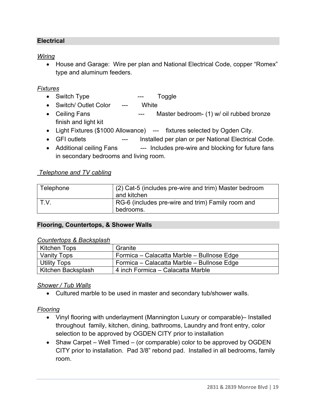## **Electrical**

## *Wiring*

• House and Garage: Wire per plan and National Electrical Code, copper "Romex" type and aluminum feeders.

### *Fixtures*

- Switch Type --- Toggle
- Switch/ Outlet Color --- White
- Ceiling Fans --- Master bedroom- (1) w/ oil rubbed bronze finish and light kit
- Light Fixtures (\$1000 Allowance) --- fixtures selected by Ogden City.
- GFI outlets --- Installed per plan or per National Electrical Code.
- Additional ceiling Fans --- Includes pre-wire and blocking for future fans in secondary bedrooms and living room.

## *Telephone and TV cabling*

| Telephone | (2) Cat-5 (includes pre-wire and trim) Master bedroom<br>and kitchen |
|-----------|----------------------------------------------------------------------|
| I T.V.    | RG-6 (includes pre-wire and trim) Family room and<br>bedrooms.       |

#### **Flooring, Countertops, & Shower Walls**

#### *Countertops & Backsplash*

| Kitchen Tops       | Granite                                        |
|--------------------|------------------------------------------------|
| <b>Vanity Tops</b> | Formica - Calacatta Marble - Bullnose Edge     |
| Utility Tops       | Formica – Calacatta Marble – Bullnose Edge     |
| Kitchen Backsplash | <sup>'</sup> 4 inch Formica – Calacatta Marble |

#### *Shower / Tub Walls*

Cultured marble to be used in master and secondary tub/shower walls.

# *Flooring*

- Vinyl flooring with underlayment (Mannington Luxury or comparable)– Installed throughout family, kitchen, dining, bathrooms, Laundry and front entry, color selection to be approved by OGDEN CITY prior to installation
- Shaw Carpet Well Timed (or comparable) color to be approved by OGDEN CITY prior to installation. Pad 3/8" rebond pad. Installed in all bedrooms, family room.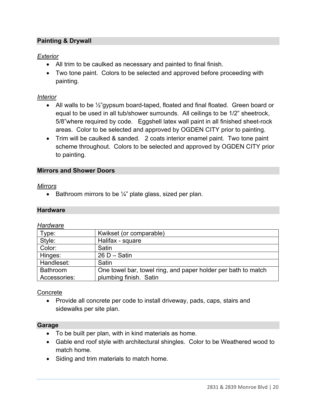# **Painting & Drywall**

## *Exterior*

- All trim to be caulked as necessary and painted to final finish.
- Two tone paint. Colors to be selected and approved before proceeding with painting.

### *Interior*

- All walls to be  $\frac{1}{2}$  gypsum board-taped, floated and final floated. Green board or equal to be used in all tub/shower surrounds. All ceilings to be 1/2" sheetrock, 5/8"where required by code. Eggshell latex wall paint in all finished sheet-rock areas. Color to be selected and approved by OGDEN CITY prior to painting.
- Trim will be caulked & sanded. 2 coats interior enamel paint. Two tone paint scheme throughout. Colors to be selected and approved by OGDEN CITY prior to painting.

#### **Mirrors and Shower Doors**

#### *Mirrors*

Example Bathroom mirrors to be  $\frac{1}{4}$ " plate glass, sized per plan.

#### **Hardware**

#### *Hardware*

| Type:           | Kwikset (or comparable)                                       |
|-----------------|---------------------------------------------------------------|
| Style:          | Halifax - square                                              |
| Color:          | Satin                                                         |
| Hinges:         | $26 D - Satin$                                                |
| Handleset:      | Satin                                                         |
| <b>Bathroom</b> | One towel bar, towel ring, and paper holder per bath to match |
| Accessories:    | plumbing finish. Satin                                        |

#### **Concrete**

• Provide all concrete per code to install driveway, pads, caps, stairs and sidewalks per site plan.

#### **Garage**

- To be built per plan, with in kind materials as home.
- Gable end roof style with architectural shingles. Color to be Weathered wood to match home.
- Siding and trim materials to match home.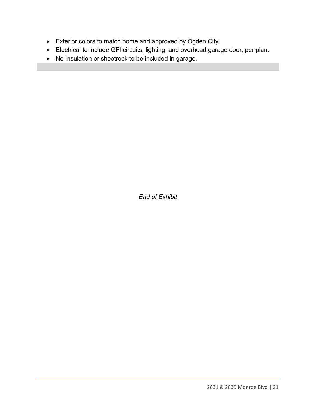- Exterior colors to match home and approved by Ogden City.
- Electrical to include GFI circuits, lighting, and overhead garage door, per plan.
- No Insulation or sheetrock to be included in garage.

*End of Exhibit*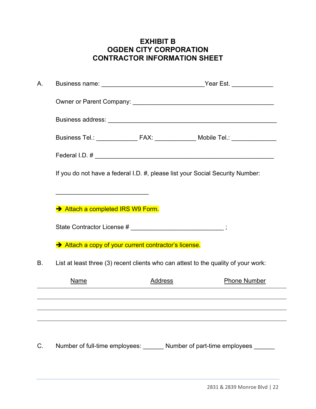# **EXHIBIT B OGDEN CITY CORPORATION CONTRACTOR INFORMATION SHEET**

| Α. |                                                                                    |         | Business name: _________________________________Year Est. _____________     |  |  |  |
|----|------------------------------------------------------------------------------------|---------|-----------------------------------------------------------------------------|--|--|--|
|    |                                                                                    |         |                                                                             |  |  |  |
|    |                                                                                    |         |                                                                             |  |  |  |
|    |                                                                                    |         | Business Tel.: ______________ FAX: ____________ Mobile Tel.: ______________ |  |  |  |
|    |                                                                                    |         | Federal I.D. # $\overline{\phantom{a}}$                                     |  |  |  |
|    | If you do not have a federal I.D. #, please list your Social Security Number:      |         |                                                                             |  |  |  |
|    |                                                                                    |         |                                                                             |  |  |  |
|    | Attach a completed IRS W9 Form.                                                    |         |                                                                             |  |  |  |
|    | State Contractor License # _________________________;                              |         |                                                                             |  |  |  |
|    | Attach a copy of your current contractor's license.                                |         |                                                                             |  |  |  |
| В. | List at least three (3) recent clients who can attest to the quality of your work: |         |                                                                             |  |  |  |
|    | <b>Name</b>                                                                        | Address | <b>Phone Number</b>                                                         |  |  |  |
|    |                                                                                    |         |                                                                             |  |  |  |
|    |                                                                                    |         |                                                                             |  |  |  |
|    |                                                                                    |         |                                                                             |  |  |  |
| C. | Number of full-time employees:                                                     |         | Number of part-time employees                                               |  |  |  |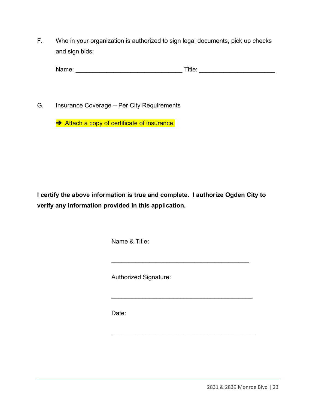F. Who in your organization is authorized to sign legal documents, pick up checks and sign bids:

| Nа | $\overline{\phantom{a}}$<br>. . |
|----|---------------------------------|
|    |                                 |

G. Insurance Coverage – Per City Requirements

Attach a copy of certificate of insurance.

**I certify the above information is true and complete. I authorize Ogden City to verify any information provided in this application.** 

\_\_\_\_\_\_\_\_\_\_\_\_\_\_\_\_\_\_\_\_\_\_\_\_\_\_\_\_\_\_\_\_\_\_\_\_\_\_\_\_

 $\frac{1}{2}$  ,  $\frac{1}{2}$  ,  $\frac{1}{2}$  ,  $\frac{1}{2}$  ,  $\frac{1}{2}$  ,  $\frac{1}{2}$  ,  $\frac{1}{2}$  ,  $\frac{1}{2}$  ,  $\frac{1}{2}$  ,  $\frac{1}{2}$  ,  $\frac{1}{2}$  ,  $\frac{1}{2}$  ,  $\frac{1}{2}$  ,  $\frac{1}{2}$  ,  $\frac{1}{2}$  ,  $\frac{1}{2}$  ,  $\frac{1}{2}$  ,  $\frac{1}{2}$  ,  $\frac{1$ 

 $\overline{\phantom{a}}$  , and the set of the set of the set of the set of the set of the set of the set of the set of the set of the set of the set of the set of the set of the set of the set of the set of the set of the set of the s

Name & Title**:** 

Authorized Signature:

Date: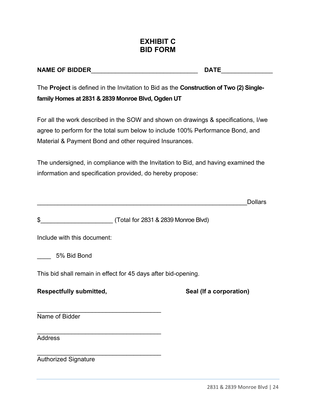# **EXHIBIT C BID FORM**

# **NAME OF BIDDER**\_\_\_\_\_\_\_\_\_\_\_\_\_\_\_\_\_\_\_\_\_\_\_\_\_\_\_\_\_\_\_ **DATE**\_\_\_\_\_\_\_\_\_\_\_\_\_\_\_

The **Project** is defined in the Invitation to Bid as the **Construction of Two (2) Singlefamily Homes at 2831 & 2839 Monroe Blvd, Ogden UT** 

For all the work described in the SOW and shown on drawings & specifications, I/we agree to perform for the total sum below to include 100% Performance Bond, and Material & Payment Bond and other required Insurances.

The undersigned, in compliance with the Invitation to Bid, and having examined the information and specification provided, do hereby propose:

\_\_\_\_\_\_\_\_\_\_\_\_\_\_\_\_\_\_\_\_\_\_\_\_\_\_\_\_\_\_\_\_\_\_\_\_\_\_\_\_\_\_\_\_\_\_\_\_\_\_\_\_\_\_\_\_\_\_\_\_\_Dollars

\$\_\_\_\_\_\_\_\_\_\_\_\_\_\_\_\_\_\_\_\_\_ (Total for 2831 & 2839 Monroe Blvd)

Include with this document:

\_\_\_\_ 5% Bid Bond

This bid shall remain in effect for 45 days after bid-opening.

\_\_\_\_\_\_\_\_\_\_\_\_\_\_\_\_\_\_\_\_\_\_\_\_\_\_\_\_\_\_\_\_\_\_\_\_

\_\_\_\_\_\_\_\_\_\_\_\_\_\_\_\_\_\_\_\_\_\_\_\_\_\_\_\_\_\_\_\_\_\_\_\_

 $\mathcal{L}_\text{max}$  , and the set of the set of the set of the set of the set of the set of the set of the set of the set of the set of the set of the set of the set of the set of the set of the set of the set of the set of the

#### **Respectfully submitted, The Contract Contract Seal (If a corporation)**

Name of Bidder

Address

Authorized Signature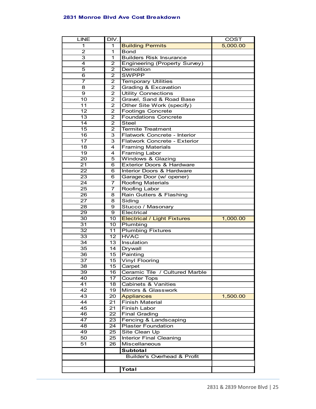#### **2831 Monroe Blvd Ave Cost Breakdown**

| <b>LINE</b>     | DIV.                |                                                     | <b>COST</b> |
|-----------------|---------------------|-----------------------------------------------------|-------------|
| 1               | 1                   | <b>Building Permits</b>                             | 5,000.00    |
| 2               | 1                   | <b>Bond</b>                                         |             |
| 3               | 1                   | <b>Builders Risk Insurance</b>                      |             |
| $\overline{4}$  | $\overline{2}$      | Engineering (Property Survey)                       |             |
| 5               | $\overline{2}$      | Demolition                                          |             |
| 6               | $\overline{2}$      | <b>SWPPP</b>                                        |             |
| $\overline{7}$  | 2                   | <b>Temporary Utilities</b>                          |             |
| 8               | $\mathbf{2}$        | Grading & Excavation                                |             |
| 9               | $\overline{2}$      | <b>Utility Connections</b>                          |             |
| 10              | $\mathbf{2}$        | Gravel, Sand & Road Base                            |             |
| 11              | $\mathbf{2}$        | Other Site Work (specify)                           |             |
| 12              | $\mathbf{2}$        | <b>Footings Concrete</b>                            |             |
| 13              | $\overline{2}$      | <b>Foundations Concrete</b>                         |             |
| 14              | $\overline{2}$      | <b>Steel</b>                                        |             |
| 15              | 2                   | <b>Termite Treatment</b>                            |             |
| $\overline{16}$ | 3                   | Flatwork Concrete - Interior                        |             |
| 17              | 3                   | Flatwork Concrete - Exterior                        |             |
| 18              | 4                   | <b>Framing Materials</b>                            |             |
| 19              | 4                   | Framing Labor                                       |             |
| 20              | 5                   | Windows & Glazing                                   |             |
| 21              | 6                   | <b>Exterior Doors &amp; Hardware</b>                |             |
| 22              | 6                   | Interior Doors & Hardware                           |             |
| $\overline{23}$ |                     |                                                     |             |
| $\overline{24}$ | 6<br>$\overline{7}$ | Garage Door (w/ opener)<br><b>Roofing Materials</b> |             |
|                 |                     |                                                     |             |
| 25              | 7                   | Roofing Labor                                       |             |
| 26              | 8                   | Rain Gutters & Flashing                             |             |
| 27              | 8                   | Siding                                              |             |
| 28              | 9                   | Stucco / Masonary                                   |             |
| 29              | 9                   | Electrical                                          |             |
| 30              | 10                  | <b>Electrical / Light Fixtures</b>                  | 1,000.00    |
| 31              | 10 <sup>1</sup>     | Plumbing                                            |             |
| $\overline{32}$ | 11                  | <b>Plumbing Fixtures</b>                            |             |
| $\overline{33}$ | 12 <sup>2</sup>     | <b>HVAC</b>                                         |             |
| 34              | 13                  | Insulation                                          |             |
| 35              | 14                  | Drywall                                             |             |
| $\overline{36}$ | 15                  | Painting                                            |             |
| 37              | 15                  | <b>Vinyl Flooring</b>                               |             |
| 38              | 15 <sub>1</sub>     | Carpet                                              |             |
| 39              | 16                  | Ceramic Tile / Cultured Marble                      |             |
| 40              | 17                  | <b>Counter Tops</b>                                 |             |
| 41              | 18                  | <b>Cabinets &amp; Vanities</b>                      |             |
| 42              | 19                  | Mirrors & Glasswork                                 |             |
| $\overline{43}$ | 20                  | <b>Appliances</b>                                   | 1,500.00    |
| 44              | 21                  | <b>Finish Material</b>                              |             |
| $\overline{45}$ | 21                  | Finish Labor                                        |             |
| $\overline{46}$ | 22                  | <b>Final Grading</b>                                |             |
| 47              | 23                  | Fencing & Landscaping                               |             |
| 48              | 24                  | <b>Plaster Foundation</b>                           |             |
| 49              | 25                  | Site Clean Up                                       |             |
| 50              | $\overline{2}5$     | <b>Interior Final Cleaning</b>                      |             |
| 51              | 26                  | Miscellaneous                                       |             |
|                 |                     | Subtotal                                            |             |
|                 |                     | <b>Builder's Overhead &amp; Profit</b>              |             |
|                 |                     |                                                     |             |
|                 |                     | <b>Total</b>                                        |             |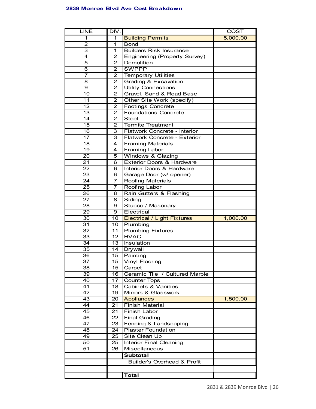#### **2839 Monroe Blvd Ave Cost Breakdown**

| <b>LINE</b>     | DIV.                                       |                                        | COST     |
|-----------------|--------------------------------------------|----------------------------------------|----------|
| 1               | 1                                          | <b>Building Permits</b>                | 5,000.00 |
| $\overline{c}$  | 1                                          | <b>Bond</b>                            |          |
| 3               | 1                                          | <b>Builders Risk Insurance</b>         |          |
| 4               | 2                                          | Engineering (Property Survey)          |          |
| 5               | $\overline{2}$                             | Demolition                             |          |
| 6               | $\overline{2}$                             | <b>SWPPP</b>                           |          |
| 7               | $\overline{\mathbf{c}}$                    | <b>Temporary Utilities</b>             |          |
| 8               | $\overline{2}$                             | Grading & Excavation                   |          |
| 9               | $\overline{2}$                             | <b>Utility Connections</b>             |          |
| 10              | $\overline{2}$                             | Gravel, Sand & Road Base               |          |
| 11              | $\overline{2}$                             | Other Site Work (specify)              |          |
| $\overline{12}$ | $\overline{2}$                             | Footings Concrete                      |          |
| $\overline{13}$ | $\overline{2}$                             | <b>Foundations Concrete</b>            |          |
| $\overline{14}$ | $\overline{2}$                             |                                        |          |
|                 |                                            | <b>Steel</b>                           |          |
| $\overline{15}$ | $\overline{2}$                             | <b>Termite Treatment</b>               |          |
| $\overline{16}$ | $\overline{3}$                             | Flatwork Concrete - Interior           |          |
| 17              | $\overline{3}$                             | Flatwork Concrete - Exterior           |          |
| 18              | 4                                          | <b>Framing Materials</b>               |          |
| 19              | 4                                          | <b>Framing Labor</b>                   |          |
| 20              | 5                                          | Windows & Glazing                      |          |
| 21              | 6                                          | <b>Exterior Doors &amp; Hardware</b>   |          |
| 22              | 6                                          | Interior Doors & Hardware              |          |
| 23              | 6                                          | Garage Door (w/ opener)                |          |
| 24              | 7                                          | <b>Roofing Materials</b>               |          |
| 25              | $\overline{7}$                             | Roofing Labor                          |          |
| 26              | 8                                          | Rain Gutters & Flashing                |          |
| 27              | 8                                          | Siding                                 |          |
| 28              | 9                                          | Stucco / Masonary                      |          |
| 29              | 9                                          | Electrical                             |          |
| 30              | 10                                         | <b>Electrical / Light Fixtures</b>     | 1,000.00 |
| 31              | 10                                         | Plumbing                               |          |
| $\overline{32}$ | 11                                         | <b>Plumbing Fixtures</b>               |          |
| 33              | 12                                         | <b>HVAC</b>                            |          |
| 34              | 13                                         | Insulation                             |          |
| 35              | 14                                         | Drywall                                |          |
| 36              | $\overline{15}$                            | Painting                               |          |
| 37              | 15                                         | <b>Vinyl Flooring</b>                  |          |
| 38              | 15                                         | Carpet                                 |          |
| 39              | 16                                         | Ceramic Tile / Cultured Marble         |          |
| 40              | 17                                         | <b>Counter Tops</b>                    |          |
| 41              | 18                                         | <b>Cabinets &amp; Vanities</b>         |          |
| 42              | 19                                         | Mirrors & Glasswork                    |          |
|                 |                                            | <b>Appliances</b>                      |          |
| 43<br>44        | 20                                         | <b>Finish Material</b>                 | 1,500.00 |
|                 | 21                                         | <b>Finish Labor</b>                    |          |
| 45              | 21                                         |                                        |          |
| 46              | 22                                         | <b>Final Grading</b>                   |          |
| 47              | 23                                         | Fencing & Landscaping                  |          |
| 48              |                                            | <b>Plaster Foundation</b><br>24        |          |
| 49              | 25                                         | Site Clean Up                          |          |
|                 | <b>Interior Final Cleaning</b><br>50<br>25 |                                        |          |
| 51              | 26                                         | Miscellaneous                          |          |
|                 |                                            | <b>Subtotal</b>                        |          |
|                 |                                            | <b>Builder's Overhead &amp; Profit</b> |          |
|                 |                                            |                                        |          |
|                 |                                            | <b>Total</b>                           |          |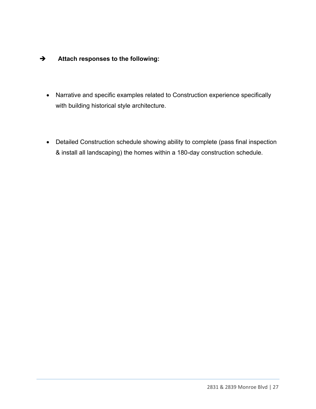# **Attach responses to the following:**

- Narrative and specific examples related to Construction experience specifically with building historical style architecture.
- Detailed Construction schedule showing ability to complete (pass final inspection & install all landscaping) the homes within a 180-day construction schedule.